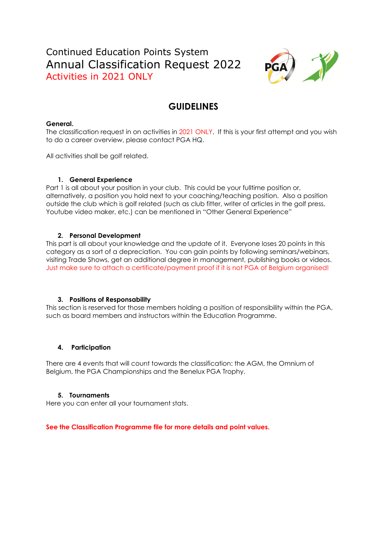# Continued Education Points System Annual Classification Request 2022 Activities in 2021 ONLY



# **GUIDELINES**

#### **General.**

The classification request in on activities in 2021 ONLY. If this is your first attempt and you wish to do a career overview, please contact PGA HQ.

All activities shall be golf related.

#### **1. General Experience**

Part 1 is all about your position in your club. This could be your fulltime position or, alternatively, a position you hold next to your coaching/teaching position. Also a position outside the club which is golf related (such as club fitter, writer of articles in the golf press, Youtube video maker, etc.) can be mentioned in "Other General Experience"

#### **2. Personal Development**

This part is all about your knowledge and the update of it. Everyone loses 20 points in this category as a sort of a depreciation. You can gain points by following seminars/webinars, visiting Trade Shows, get an additional degree in management, publishing books or videos. Just make sure to attach a certificate/payment proof if it is not PGA of Belgium organised!

#### **3. Positions of Responsability**

This section is reserved for those members holding a position of responsibility within the PGA, such as board members and instructors within the Education Programme.

#### **4. Participation**

There are 4 events that will count towards the classification: the AGM, the Omnium of Belgium, the PGA Championships and the Benelux PGA Trophy.

#### **5. Tournaments**

Here you can enter all your tournament stats.

**See the Classification Programme file for more details and point values.**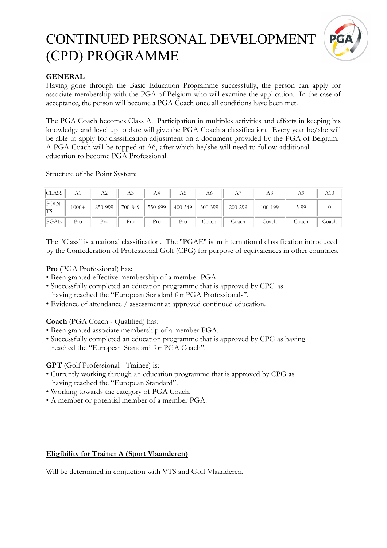

### **GENERAL**

Having gone through the Basic Education Programme successfully, the person can apply for associate membership with the PGA of Belgium who will examine the application. In the case of acceptance, the person will become a PGA Coach once all conditions have been met.

The PGA Coach becomes Class A. Participation in multiples activities and efforts in keeping his knowledge and level up to date will give the PGA Coach a classification. Every year he/she will be able to apply for classification adjustment on a document provided by the PGA of Belgium. A PGA Coach will be topped at A6, after which he/she will need to follow additional education to become PGA Professional.

Structure of the Point System:

| <b>CLASS</b> | A1      | A2      | A3      | A4      |         | A6      | А       | A8      | Αº    | A10   |
|--------------|---------|---------|---------|---------|---------|---------|---------|---------|-------|-------|
| POIN<br>'TS  | $1000+$ | 850-999 | 700-849 | 550-699 | 400-549 | 300-399 | 200-299 | 100-199 | 5-99  |       |
| PGAE         | Pro     | Pro     | Pro     | Pro     | Pro     | Coach   | Coach   | Coach   | Coach | Coach |

The "Class" is a national classification. The "PGAE" is an international classification introduced by the Confederation of Professional Golf (CPG) for purpose of equivalences in other countries.

**Pro** (PGA Professional) has:

- Been granted effective membership of a member PGA.
- Successfully completed an education programme that is approved by CPG as having reached the "European Standard for PGA Professionals".
- Evidence of attendance / assessment at approved continued education.

**Coach** (PGA Coach - Qualified) has:

- Been granted associate membership of a member PGA.
- Successfully completed an education programme that is approved by CPG as having reached the "European Standard for PGA Coach".

**GPT** (Golf Professional - Trainee) is:

- Currently working through an education programme that is approved by CPG as having reached the "European Standard".
- Working towards the category of PGA Coach.
- A member or potential member of a member PGA.

#### **Eligibility for Trainer A (Sport Vlaanderen)**

Will be determined in conjuction with VTS and Golf Vlaanderen.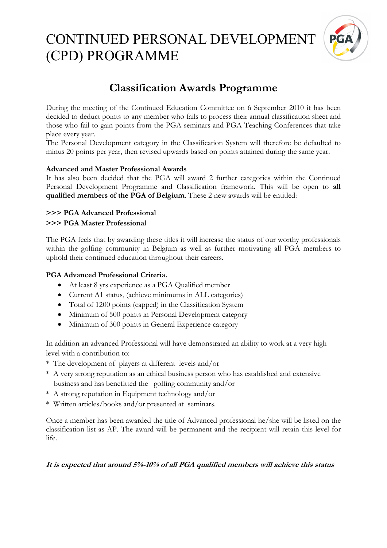

# **Classification Awards Programme**

During the meeting of the Continued Education Committee on 6 September 2010 it has been decided to deduct points to any member who fails to process their annual classification sheet and those who fail to gain points from the PGA seminars and PGA Teaching Conferences that take place every year.

The Personal Development category in the Classification System will therefore be defaulted to minus 20 points per year, then revised upwards based on points attained during the same year.

#### **Advanced and Master Professional Awards**

It has also been decided that the PGA will award 2 further categories within the Continued Personal Development Programme and Classification framework. This will be open to **all qualified members of the PGA of Belgium**. These 2 new awards will be entitled:

### **>>> PGA Advanced Professional >>> PGA Master Professional**

The PGA feels that by awarding these titles it will increase the status of our worthy professionals within the golfing community in Belgium as well as further motivating all PGA members to uphold their continued education throughout their careers.

### **PGA Advanced Professional Criteria.**

- At least 8 yrs experience as a PGA Qualified member
- Current A1 status, (achieve minimums in ALL categories)
- Total of 1200 points (capped) in the Classification System
- Minimum of 500 points in Personal Development category
- Minimum of 300 points in General Experience category

In addition an advanced Professional will have demonstrated an ability to work at a very high level with a contribution to:

\* The development of players at different levels and/or

- \* A very strong reputation as an ethical business person who has established and extensive business and has benefitted the golfing community and/or
- \* A strong reputation in Equipment technology and/or
- \* Written articles/books and/or presented at seminars.

Once a member has been awarded the title of Advanced professional he/she will be listed on the classification list as AP. The award will be permanent and the recipient will retain this level for life.

## **It is expected that around 5%-10% of all PGA qualified members will achieve this status**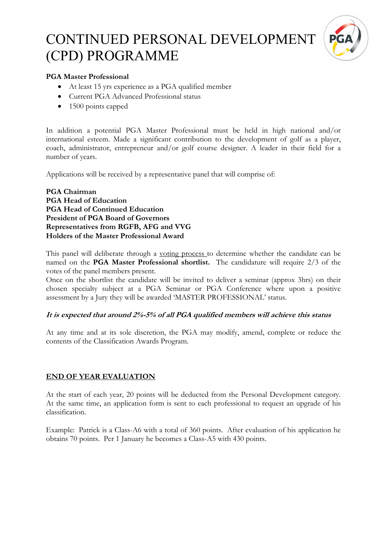

### **PGA Master Professional**

- At least 15 yrs experience as a PGA qualified member
- Current PGA Advanced Professional status
- 1500 points capped

In addition a potential PGA Master Professional must be held in high national and/or international esteem. Made a significant contribution to the development of golf as a player, coach, administrator, entrepreneur and/or golf course designer. A leader in their field for a number of years.

Applications will be received by a representative panel that will comprise of:

**PGA Chairman PGA Head of Education PGA Head of Continued Education President of PGA Board of Governors Representatives from RGFB, AFG and VVG Holders of the Master Professional Award** 

This panel will deliberate through a voting process to determine whether the candidate can be named on the **PGA Master Professional shortlist.** The candidature will require 2/3 of the votes of the panel members present.

Once on the shortlist the candidate will be invited to deliver a seminar (approx 3hrs) on their chosen specialty subject at a PGA Seminar or PGA Conference where upon a positive assessment by a Jury they will be awarded 'MASTER PROFESSIONAL' status.

## **It is expected that around 2%-5% of all PGA qualified members will achieve this status**

At any time and at its sole discretion, the PGA may modify, amend, complete or reduce the contents of the Classification Awards Program.

## **END OF YEAR EVALUATION**

At the start of each year, 20 points will be deducted from the Personal Development category. At the same time, an application form is sent to each professional to request an upgrade of his classification.

Example: Patrick is a Class-A6 with a total of 360 points. After evaluation of his application he obtains 70 points. Per 1 January he becomes a Class-A5 with 430 points.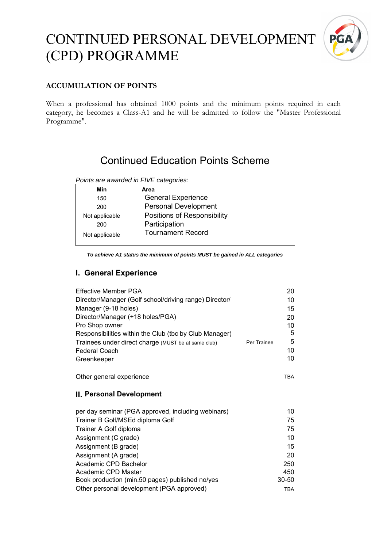

## **ACCUMULATION OF POINTS**

When a professional has obtained 1000 points and the minimum points required in each category, he becomes a Class-A1 and he will be admitted to follow the "Master Professional Programme".

# Continued Education Points Scheme

#### *Points are awarded in FIVE categories:*

| Min            | Area                        |
|----------------|-----------------------------|
| 150            | <b>General Experience</b>   |
| 200            | <b>Personal Development</b> |
| Not applicable | Positions of Responsibility |
| 200            | Participation               |
| Not applicable | <b>Tournament Record</b>    |

*To achieve A1 status the minimum of points MUST be gained in ALL categories* 

### **I. General Experience**

Academic CPD Master

Book production (min.50 pages) published no/yes

| Effective Member PGA                                   |             | 20         |
|--------------------------------------------------------|-------------|------------|
| Director/Manager (Golf school/driving range) Director/ |             | 10         |
| Manager (9-18 holes)                                   |             | 15         |
| Director/Manager (+18 holes/PGA)                       |             | 20         |
| Pro Shop owner                                         |             | 10         |
| Responsibilities within the Club (tbc by Club Manager) |             | 5          |
| Trainees under direct charge (MUST be at same club)    | Per Trainee | 5          |
| <b>Federal Coach</b>                                   |             | 10         |
| Greenkeeper                                            |             | 10         |
| Other general experience                               |             | <b>TBA</b> |
| II. Personal Development                               |             |            |
| per day seminar (PGA approved, including webinars)     |             | 10         |
| Trainer B Golf/MSEd diploma Golf                       |             | 75         |
| Trainer A Golf diploma                                 |             | 75         |
| Assignment (C grade)                                   |             | 10         |
| Assignment (B grade)                                   |             | 15         |
| Assignment (A grade)                                   |             | 20         |

Academic CPD Bachelor 250

Other personal development (PGA approved) TBA

450 30-50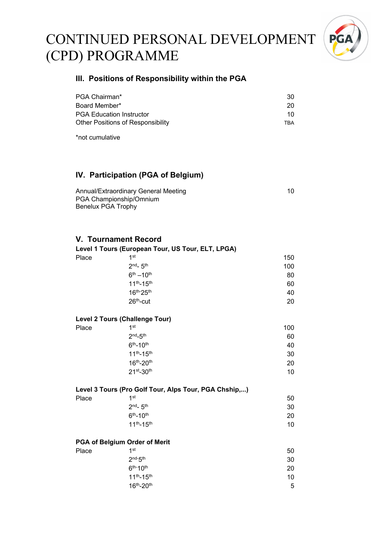

#### **III. Positions of Responsibility within the PGA**

| PGA Chairman*                            | 30. |
|------------------------------------------|-----|
| Board Member*                            | 20  |
| <b>PGA Education Instructor</b>          | 10. |
| <b>Other Positions of Responsibility</b> | TRA |

\*not cumulative

## **IV. Participation (PGA of Belgium)**

| Annual/Extraordinary General Meeting | 10 |
|--------------------------------------|----|
| PGA Championship/Omnium              |    |
| <b>Benelux PGA Trophy</b>            |    |

#### **V. Tournament Record**

**Level 1 Tours (European Tour, US Tour, ELT, LPGA)** 

| Place | 1st                 | 150 |
|-------|---------------------|-----|
|       | $2nd - 5th$         | 100 |
|       | $6^{th} - 10^{th}$  | 80  |
|       | $11^{th} - 15^{th}$ | 60  |
|       | 16th-25th           | 40  |
|       | $26th$ -cut         | 20  |
|       |                     |     |

#### **Level 2 Tours (Challenge Tour)**

| Place | 1st                 | 100 |
|-------|---------------------|-----|
|       | $2nd-5th$           | 60  |
|       | $6^{th} - 10^{th}$  | 40  |
|       | $11^{th} - 15^{th}$ | 30  |
|       | 16th-20th           | 20  |
|       | $21st-30th$         | 10  |
|       |                     |     |

|       | Level 3 Tours (Pro Golf Tour, Alps Tour, PGA Chship,) |    |
|-------|-------------------------------------------------------|----|
| Place | 1st                                                   | 50 |
|       | $2nd$ 5 <sup>th</sup>                                 | 30 |
|       | $6th$ -10 <sup>th</sup>                               | 20 |
|       | $11^{th} - 15^{th}$                                   | 10 |

#### **PGA of Belgium Order of Merit**

| 1st                 | 50 |
|---------------------|----|
| $2nd-5th$           | 30 |
| $6th-10th$          | 20 |
| $11^{th} - 15^{th}$ | 10 |
| $16^{th} - 20^{th}$ | 5  |
|                     |    |